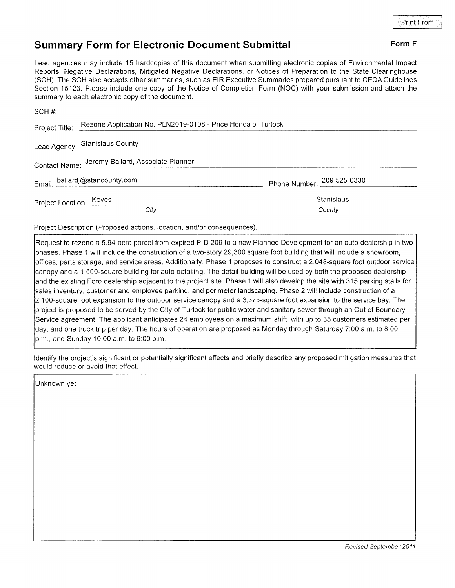## Summary Form for Electronic Document Submittal Form F

Lead agencies may include 15 hardcopies of this document when submitting electronic copies of Environmental lmpact Reports, Negative Declarations, Mitigated Negative Declarations, or Notices of Preparation to the State Clearinghouse (SCH). The SCH also accepts other summaries, such as EIR Executive Summaries prepared pursuant to CEQA Guidelines Section 15123. Please include one copy of the Notice of Completion Form (NOC) with your submission and attach the summary to each electronic copy of the document.

|                                                 | Project Title: Rezone Application No. PLN2019-0108 - Price Honda of Turlock |                            |
|-------------------------------------------------|-----------------------------------------------------------------------------|----------------------------|
|                                                 | Lead Agency: Stanislaus County                                              |                            |
| Contact Name: Jeremy Ballard, Associate Planner |                                                                             |                            |
|                                                 | Email: ballardj@stancounty.com                                              | Phone Number: 209 525-6330 |
| Project Location: Keyes                         |                                                                             | Stanislaus                 |
|                                                 | City                                                                        | County                     |

Project Description (Proposed actions, location, and/or consequences)

Request to rezone a 5.94-acre parcel from expired P-D 209 to a new Planned Development for an auto dealership in two phases. Phase 1 will include the construction of a two-story 29,300 square foot building that will include a showroom, offices, parts storage, and service areas. Additionally, Phase 1 proposes to construct a 2,048-square foot outdoor service canopy and a 1,500-square building for auto detailing. The detail building will be used by both the proposed dealership and the existing Ford dealership adjacent to the project site. Phase 1 will also develop the site with 315 parking stalls for sales inventory, customer and employee parking, and perimeter landscaping. Phase 2 will include construction of a 2,1OO-square foot expansion to the outdoor service canopy and a 3,375-square foot expansion to the service bay. The project is proposed to be served by the City of Turlock for public water and sanitary sewer through an Out of Boundary Service agreement. The applicant anticipates 24 employees on a maximum shift, with up to 35 customers estimated per day, and one truck trip per day. The hours of operation are proposed as Monday through Saturday 7:00 a.m. to B:00 p.m., and Sunday '10:00 a.m. to 6:00 p.m.

ldentify the project's significant or potentially significant effects and briefly describe any proposed mitigation measures that would reduce or avoid that effect.

Unknown yet